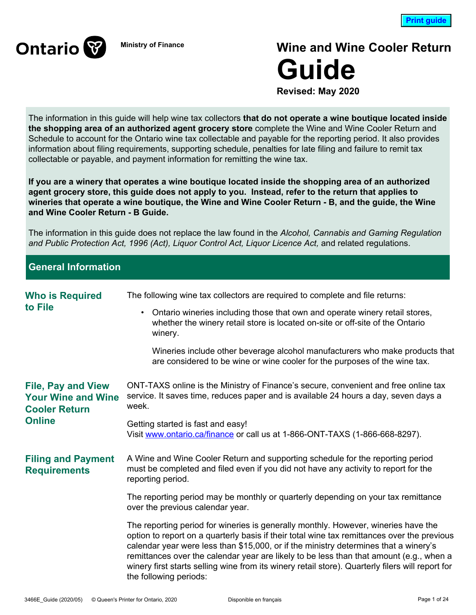

# **Ministry of Finance Wine and Wine Cooler Return Guide**

**Revised: May 2020**

The information in this guide will help wine tax collectors **that do not operate a wine boutique located inside the shopping area of an authorized agent grocery store** complete the Wine and Wine Cooler Return and Schedule to account for the Ontario wine tax collectable and payable for the reporting period. It also provides information about filing requirements, supporting schedule, penalties for late filing and failure to remit tax collectable or payable, and payment information for remitting the wine tax.

**If you are a winery that operates a wine boutique located inside the shopping area of an authorized agent grocery store, this guide does not apply to you. Instead, refer to the return that applies to wineries that operate a wine boutique, the Wine and Wine Cooler Return - B, and the guide, the Wine and Wine Cooler Return - B Guide.**

The information in this guide does not replace the law found in the *Alcohol, Cannabis and Gaming Regulation and Public Protection Act, 1996 (Act), Liquor Control Act, Liquor Licence Act,* and related regulations.

# **General Information**

| <b>Who is Required</b>                                                         | The following wine tax collectors are required to complete and file returns:                                                                                                                                                                                                                                                                                                                                                                                                                       |  |  |  |
|--------------------------------------------------------------------------------|----------------------------------------------------------------------------------------------------------------------------------------------------------------------------------------------------------------------------------------------------------------------------------------------------------------------------------------------------------------------------------------------------------------------------------------------------------------------------------------------------|--|--|--|
| to File                                                                        | Ontario wineries including those that own and operate winery retail stores,<br>$\bullet$<br>whether the winery retail store is located on-site or off-site of the Ontario<br>winery.                                                                                                                                                                                                                                                                                                               |  |  |  |
|                                                                                | Wineries include other beverage alcohol manufacturers who make products that<br>are considered to be wine or wine cooler for the purposes of the wine tax.                                                                                                                                                                                                                                                                                                                                         |  |  |  |
| <b>File, Pay and View</b><br><b>Your Wine and Wine</b><br><b>Cooler Return</b> | ONT-TAXS online is the Ministry of Finance's secure, convenient and free online tax<br>service. It saves time, reduces paper and is available 24 hours a day, seven days a<br>week.                                                                                                                                                                                                                                                                                                                |  |  |  |
| <b>Online</b>                                                                  | Getting started is fast and easy!<br>Visit www.ontario.ca/finance or call us at 1-866-ONT-TAXS (1-866-668-8297).                                                                                                                                                                                                                                                                                                                                                                                   |  |  |  |
| <b>Filing and Payment</b><br><b>Requirements</b>                               | A Wine and Wine Cooler Return and supporting schedule for the reporting period<br>must be completed and filed even if you did not have any activity to report for the<br>reporting period.                                                                                                                                                                                                                                                                                                         |  |  |  |
|                                                                                | The reporting period may be monthly or quarterly depending on your tax remittance<br>over the previous calendar year.                                                                                                                                                                                                                                                                                                                                                                              |  |  |  |
|                                                                                | The reporting period for wineries is generally monthly. However, wineries have the<br>option to report on a quarterly basis if their total wine tax remittances over the previous<br>calendar year were less than \$15,000, or if the ministry determines that a winery's<br>remittances over the calendar year are likely to be less than that amount (e.g., when a<br>winery first starts selling wine from its winery retail store). Quarterly filers will report for<br>the following periods: |  |  |  |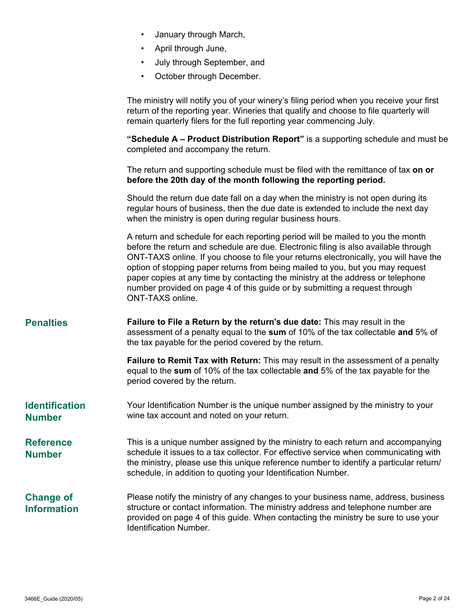| January through March, |  |
|------------------------|--|
|------------------------|--|

- April through June,
- July through September, and
- October through December.

The ministry will notify you of your winery's filing period when you receive your first return of the reporting year. Wineries that qualify and choose to file quarterly will remain quarterly filers for the full reporting year commencing July.

**"Schedule A – Product Distribution Report"** is a supporting schedule and must be completed and accompany the return.

The return and supporting schedule must be filed with the remittance of tax **on or before the 20th day of the month following the reporting period.** 

Should the return due date fall on a day when the ministry is not open during its regular hours of business, then the due date is extended to include the next day when the ministry is open during regular business hours.

A return and schedule for each reporting period will be mailed to you the month before the return and schedule are due. Electronic filing is also available through ONT-TAXS online. If you choose to file your returns electronically, you will have the option of stopping paper returns from being mailed to you, but you may request paper copies at any time by contacting the ministry at the address or telephone number provided on page 4 of this guide or by submitting a request through ONT-TAXS online.

**Penalties Failure to File a Return by the return's due date:** This may result in the assessment of a penalty equal to the **sum** of 10% of the tax collectable **and** 5% of the tax payable for the period covered by the return.

> **Failure to Remit Tax with Return:** This may result in the assessment of a penalty equal to the **sum** of 10% of the tax collectable **and** 5% of the tax payable for the period covered by the return.

**Identification Number** Your Identification Number is the unique number assigned by the ministry to your wine tax account and noted on your return.

**Reference Number** This is a unique number assigned by the ministry to each return and accompanying schedule it issues to a tax collector. For effective service when communicating with the ministry, please use this unique reference number to identify a particular return/ schedule, in addition to quoting your Identification Number.

#### **Change of Information** Please notify the ministry of any changes to your business name, address, business structure or contact information. The ministry address and telephone number are provided on page 4 of this guide. When contacting the ministry be sure to use your Identification Number.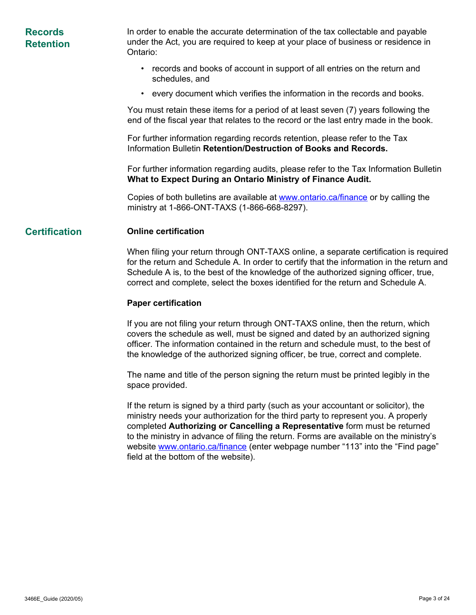| <b>Records</b><br><b>Retention</b> | In order to enable the accurate determination of the tax collectable and payable<br>under the Act, you are required to keep at your place of business or residence in<br>Ontario:  |
|------------------------------------|------------------------------------------------------------------------------------------------------------------------------------------------------------------------------------|
|                                    | records and books of account in support of all entries on the return and<br>schedules, and                                                                                         |
|                                    | • every document which verifies the information in the records and books.                                                                                                          |
|                                    | You must retain these items for a period of at least seven (7) years following the<br>end of the fiscal year that relates to the record or the last entry made in the book.        |
|                                    | For further information regarding records retention, please refer to the Tax<br>Information Bulletin Retention/Destruction of Books and Records.                                   |
|                                    | For further information regarding audits, please refer to the Tax Information Bulletin<br>What to Expect During an Ontario Ministry of Finance Audit.                              |
|                                    | Copies of both bulletins are available at www.ontario.ca/finance or by calling the<br>ministry at 1-866-ONT-TAXS (1-866-668-8297).                                                 |
| <b>Certification</b>               | <b>Online certification</b>                                                                                                                                                        |
|                                    | When filing your return through ONT-TAXS online, a separate certification is required<br>for the return and Schedule A. In order to certify that the information in the return and |

**Paper certification** 

The name and title of the person signing the return must be printed legibly in the space provided.

Schedule A is, to the best of the knowledge of the authorized signing officer, true, correct and complete, select the boxes identified for the return and Schedule A.

If you are not filing your return through ONT-TAXS online, then the return, which covers the schedule as well, must be signed and dated by an authorized signing officer. The information contained in the return and schedule must, to the best of the knowledge of the authorized signing officer, be true, correct and complete.

If the return is signed by a third party (such as your accountant or solicitor), the ministry needs your authorization for the third party to represent you. A properly completed **Authorizing or Cancelling a Representative** form must be returned to the ministry in advance of filing the return. Forms are available on the ministry's website www.ontario.ca/finance (enter webpage number "113" into the "Find page" field at the bottom of the website).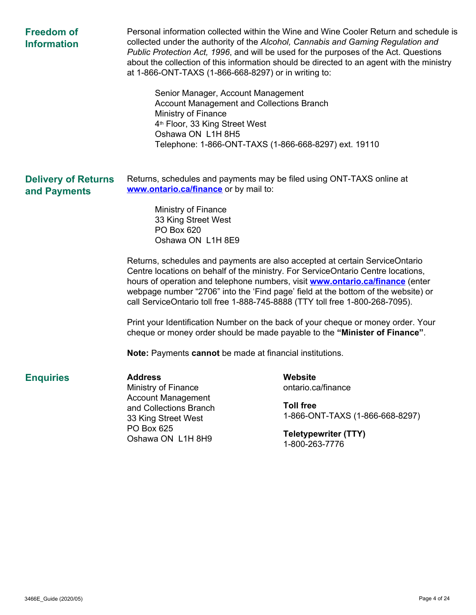| <b>Freedom of</b><br><b>Information</b>    | Personal information collected within the Wine and Wine Cooler Return and schedule is<br>collected under the authority of the Alcohol, Cannabis and Gaming Regulation and<br>Public Protection Act, 1996, and will be used for the purposes of the Act. Questions<br>about the collection of this information should be directed to an agent with the ministry<br>at 1-866-ONT-TAXS (1-866-668-8297) or in writing to:<br>Senior Manager, Account Management<br><b>Account Management and Collections Branch</b><br>Ministry of Finance<br>4 <sup>th</sup> Floor, 33 King Street West<br>Oshawa ON L1H 8H5<br>Telephone: 1-866-ONT-TAXS (1-866-668-8297) ext. 19110                                                                                                                                                                                           |                                                                                                                                       |  |  |  |
|--------------------------------------------|---------------------------------------------------------------------------------------------------------------------------------------------------------------------------------------------------------------------------------------------------------------------------------------------------------------------------------------------------------------------------------------------------------------------------------------------------------------------------------------------------------------------------------------------------------------------------------------------------------------------------------------------------------------------------------------------------------------------------------------------------------------------------------------------------------------------------------------------------------------|---------------------------------------------------------------------------------------------------------------------------------------|--|--|--|
| <b>Delivery of Returns</b><br>and Payments | Returns, schedules and payments may be filed using ONT-TAXS online at<br>www.ontario.ca/finance or by mail to:<br>Ministry of Finance<br>33 King Street West<br>PO Box 620<br>Oshawa ON L1H 8E9<br>Returns, schedules and payments are also accepted at certain ServiceOntario<br>Centre locations on behalf of the ministry. For ServiceOntario Centre locations,<br>hours of operation and telephone numbers, visit <b>www.ontario.ca/finance</b> (enter<br>webpage number "2706" into the 'Find page' field at the bottom of the website) or<br>call ServiceOntario toll free 1-888-745-8888 (TTY toll free 1-800-268-7095).<br>Print your Identification Number on the back of your cheque or money order. Your<br>cheque or money order should be made payable to the "Minister of Finance".<br>Note: Payments cannot be made at financial institutions. |                                                                                                                                       |  |  |  |
| <b>Enquiries</b>                           | <b>Address</b><br>Ministry of Finance<br><b>Account Management</b><br>and Collections Branch<br>33 King Street West<br>PO Box 625<br>Oshawa ON L1H 8H9                                                                                                                                                                                                                                                                                                                                                                                                                                                                                                                                                                                                                                                                                                        | Website<br>ontario.ca/finance<br><b>Toll free</b><br>1-866-ONT-TAXS (1-866-668-8297)<br><b>Teletypewriter (TTY)</b><br>1-800-263-7776 |  |  |  |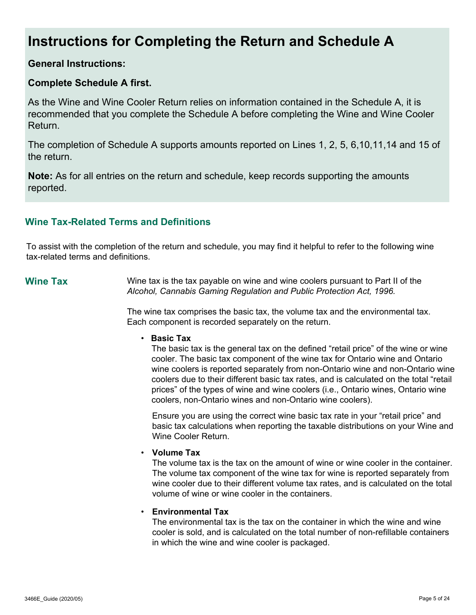# **Instructions for Completing the Return and Schedule A**

# **General Instructions:**

# **Complete Schedule A first.**

As the Wine and Wine Cooler Return relies on information contained in the Schedule A, it is recommended that you complete the Schedule A before completing the Wine and Wine Cooler Return.

The completion of Schedule A supports amounts reported on Lines 1, 2, 5, 6,10,11,14 and 15 of the return.

**Note:** As for all entries on the return and schedule, keep records supporting the amounts reported.

# **Wine Tax-Related Terms and Definitions**

To assist with the completion of the return and schedule, you may find it helpful to refer to the following wine tax-related terms and definitions.

**Wine Tax** Wine tax is the tax payable on wine and wine coolers pursuant to Part II of the *Alcohol, Cannabis Gaming Regulation and Public Protection Act, 1996.* 

> The wine tax comprises the basic tax, the volume tax and the environmental tax. Each component is recorded separately on the return.

• **Basic Tax**

The basic tax is the general tax on the defined "retail price" of the wine or wine cooler. The basic tax component of the wine tax for Ontario wine and Ontario wine coolers is reported separately from non-Ontario wine and non-Ontario wine coolers due to their different basic tax rates, and is calculated on the total "retail prices" of the types of wine and wine coolers (i.e., Ontario wines, Ontario wine coolers, non-Ontario wines and non-Ontario wine coolers).

Ensure you are using the correct wine basic tax rate in your "retail price" and basic tax calculations when reporting the taxable distributions on your Wine and Wine Cooler Return.

#### • **Volume Tax**

The volume tax is the tax on the amount of wine or wine cooler in the container. The volume tax component of the wine tax for wine is reported separately from wine cooler due to their different volume tax rates, and is calculated on the total volume of wine or wine cooler in the containers.

#### • **Environmental Tax**

The environmental tax is the tax on the container in which the wine and wine cooler is sold, and is calculated on the total number of non-refillable containers in which the wine and wine cooler is packaged.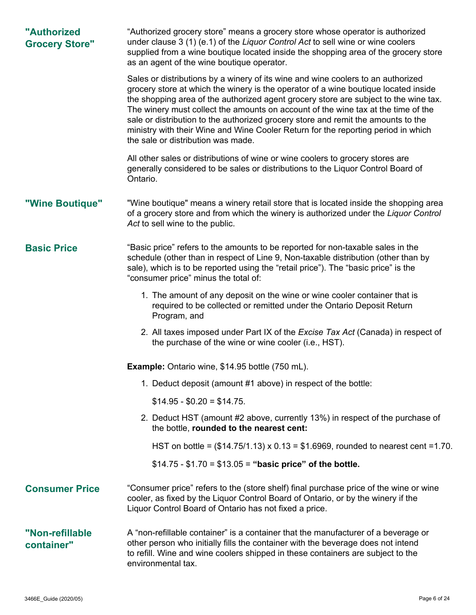| "Authorized<br><b>Grocery Store"</b> | "Authorized grocery store" means a grocery store whose operator is authorized<br>under clause 3 (1) (e.1) of the Liquor Control Act to sell wine or wine coolers<br>supplied from a wine boutique located inside the shopping area of the grocery store<br>as an agent of the wine boutique operator.                                                                                                                                                                                                                                                                |  |  |  |  |  |
|--------------------------------------|----------------------------------------------------------------------------------------------------------------------------------------------------------------------------------------------------------------------------------------------------------------------------------------------------------------------------------------------------------------------------------------------------------------------------------------------------------------------------------------------------------------------------------------------------------------------|--|--|--|--|--|
|                                      | Sales or distributions by a winery of its wine and wine coolers to an authorized<br>grocery store at which the winery is the operator of a wine boutique located inside<br>the shopping area of the authorized agent grocery store are subject to the wine tax.<br>The winery must collect the amounts on account of the wine tax at the time of the<br>sale or distribution to the authorized grocery store and remit the amounts to the<br>ministry with their Wine and Wine Cooler Return for the reporting period in which<br>the sale or distribution was made. |  |  |  |  |  |
|                                      | All other sales or distributions of wine or wine coolers to grocery stores are<br>generally considered to be sales or distributions to the Liquor Control Board of<br>Ontario.                                                                                                                                                                                                                                                                                                                                                                                       |  |  |  |  |  |
| "Wine Boutique"                      | "Wine boutique" means a winery retail store that is located inside the shopping area<br>of a grocery store and from which the winery is authorized under the Liquor Control<br>Act to sell wine to the public.                                                                                                                                                                                                                                                                                                                                                       |  |  |  |  |  |
| <b>Basic Price</b>                   | "Basic price" refers to the amounts to be reported for non-taxable sales in the<br>schedule (other than in respect of Line 9, Non-taxable distribution (other than by<br>sale), which is to be reported using the "retail price"). The "basic price" is the<br>"consumer price" minus the total of:                                                                                                                                                                                                                                                                  |  |  |  |  |  |
|                                      | 1. The amount of any deposit on the wine or wine cooler container that is<br>required to be collected or remitted under the Ontario Deposit Return<br>Program, and                                                                                                                                                                                                                                                                                                                                                                                                   |  |  |  |  |  |
|                                      | 2. All taxes imposed under Part IX of the Excise Tax Act (Canada) in respect of<br>the purchase of the wine or wine cooler (i.e., HST).                                                                                                                                                                                                                                                                                                                                                                                                                              |  |  |  |  |  |
|                                      | <b>Example:</b> Ontario wine, \$14.95 bottle (750 mL).                                                                                                                                                                                                                                                                                                                                                                                                                                                                                                               |  |  |  |  |  |
|                                      | 1. Deduct deposit (amount #1 above) in respect of the bottle:                                                                                                                                                                                                                                                                                                                                                                                                                                                                                                        |  |  |  |  |  |
|                                      | $$14.95 - $0.20 = $14.75.$                                                                                                                                                                                                                                                                                                                                                                                                                                                                                                                                           |  |  |  |  |  |
|                                      | 2. Deduct HST (amount #2 above, currently 13%) in respect of the purchase of<br>the bottle, rounded to the nearest cent:                                                                                                                                                                                                                                                                                                                                                                                                                                             |  |  |  |  |  |
|                                      | HST on bottle = $(\$14.75/1.13) \times 0.13 = \$1.6969$ , rounded to nearest cent = 1.70.                                                                                                                                                                                                                                                                                                                                                                                                                                                                            |  |  |  |  |  |
|                                      | $$14.75 - $1.70 = $13.05 = "basic price"$ of the bottle.                                                                                                                                                                                                                                                                                                                                                                                                                                                                                                             |  |  |  |  |  |
| <b>Consumer Price</b>                | "Consumer price" refers to the (store shelf) final purchase price of the wine or wine<br>cooler, as fixed by the Liquor Control Board of Ontario, or by the winery if the<br>Liquor Control Board of Ontario has not fixed a price.                                                                                                                                                                                                                                                                                                                                  |  |  |  |  |  |
| "Non-refillable<br>container"        | A "non-refillable container" is a container that the manufacturer of a beverage or<br>other person who initially fills the container with the beverage does not intend<br>to refill. Wine and wine coolers shipped in these containers are subject to the<br>environmental tax.                                                                                                                                                                                                                                                                                      |  |  |  |  |  |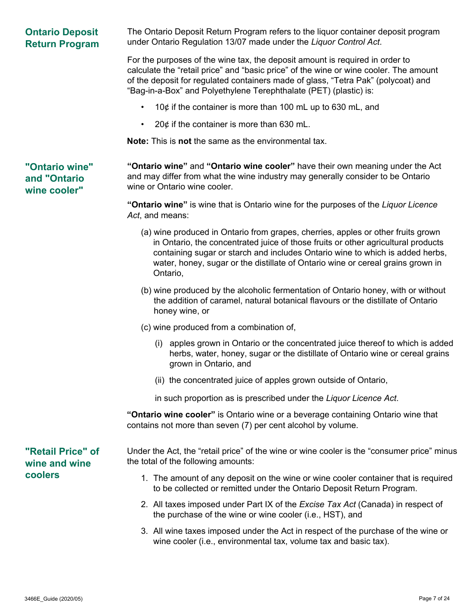| <b>Ontario Deposit</b><br><b>Return Program</b> | The Ontario Deposit Return Program refers to the liquor container deposit program<br>under Ontario Regulation 13/07 made under the Liquor Control Act.                                                                                                                                                                                                |  |  |  |
|-------------------------------------------------|-------------------------------------------------------------------------------------------------------------------------------------------------------------------------------------------------------------------------------------------------------------------------------------------------------------------------------------------------------|--|--|--|
|                                                 | For the purposes of the wine tax, the deposit amount is required in order to<br>calculate the "retail price" and "basic price" of the wine or wine cooler. The amount<br>of the deposit for regulated containers made of glass, "Tetra Pak" (polycoat) and<br>"Bag-in-a-Box" and Polyethylene Terephthalate (PET) (plastic) is:                       |  |  |  |
|                                                 | 10¢ if the container is more than 100 mL up to 630 mL, and                                                                                                                                                                                                                                                                                            |  |  |  |
|                                                 | 20 $¢$ if the container is more than 630 mL.                                                                                                                                                                                                                                                                                                          |  |  |  |
|                                                 | <b>Note:</b> This is not the same as the environmental tax.                                                                                                                                                                                                                                                                                           |  |  |  |
| "Ontario wine"<br>and "Ontario<br>wine cooler"  | "Ontario wine" and "Ontario wine cooler" have their own meaning under the Act<br>and may differ from what the wine industry may generally consider to be Ontario<br>wine or Ontario wine cooler.                                                                                                                                                      |  |  |  |
|                                                 | "Ontario wine" is wine that is Ontario wine for the purposes of the Liquor Licence<br>Act, and means:                                                                                                                                                                                                                                                 |  |  |  |
|                                                 | (a) wine produced in Ontario from grapes, cherries, apples or other fruits grown<br>in Ontario, the concentrated juice of those fruits or other agricultural products<br>containing sugar or starch and includes Ontario wine to which is added herbs,<br>water, honey, sugar or the distillate of Ontario wine or cereal grains grown in<br>Ontario, |  |  |  |
|                                                 | (b) wine produced by the alcoholic fermentation of Ontario honey, with or without<br>the addition of caramel, natural botanical flavours or the distillate of Ontario<br>honey wine, or                                                                                                                                                               |  |  |  |
|                                                 | (c) wine produced from a combination of,                                                                                                                                                                                                                                                                                                              |  |  |  |
|                                                 | (i) apples grown in Ontario or the concentrated juice thereof to which is added<br>herbs, water, honey, sugar or the distillate of Ontario wine or cereal grains<br>grown in Ontario, and                                                                                                                                                             |  |  |  |
|                                                 | (ii) the concentrated juice of apples grown outside of Ontario,                                                                                                                                                                                                                                                                                       |  |  |  |
|                                                 | in such proportion as is prescribed under the Liquor Licence Act.                                                                                                                                                                                                                                                                                     |  |  |  |
|                                                 | "Ontario wine cooler" is Ontario wine or a beverage containing Ontario wine that<br>contains not more than seven (7) per cent alcohol by volume.                                                                                                                                                                                                      |  |  |  |
| "Retail Price" of<br>wine and wine              | Under the Act, the "retail price" of the wine or wine cooler is the "consumer price" minus<br>the total of the following amounts:                                                                                                                                                                                                                     |  |  |  |
| coolers                                         | 1. The amount of any deposit on the wine or wine cooler container that is required<br>to be collected or remitted under the Ontario Deposit Return Program.                                                                                                                                                                                           |  |  |  |
|                                                 | 2. All taxes imposed under Part IX of the Excise Tax Act (Canada) in respect of<br>the purchase of the wine or wine cooler (i.e., HST), and                                                                                                                                                                                                           |  |  |  |
|                                                 | 3. All wine taxes imposed under the Act in respect of the purchase of the wine or<br>wine cooler (i.e., environmental tax, volume tax and basic tax).                                                                                                                                                                                                 |  |  |  |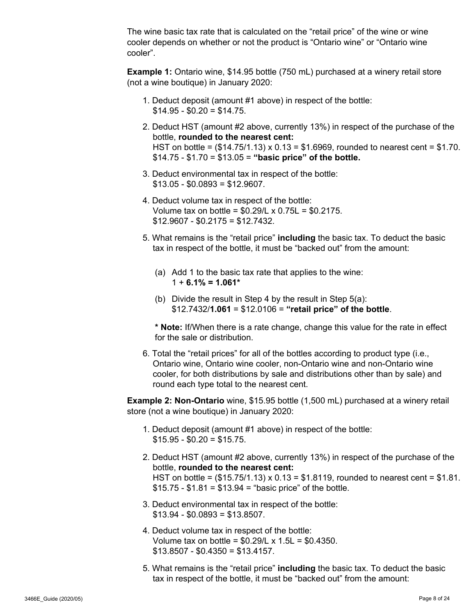The wine basic tax rate that is calculated on the "retail price" of the wine or wine cooler depends on whether or not the product is "Ontario wine" or "Ontario wine cooler".

**Example 1:** Ontario wine, \$14.95 bottle (750 mL) purchased at a winery retail store (not a wine boutique) in January 2020:

- 1. Deduct deposit (amount #1 above) in respect of the bottle:  $$14.95 - $0.20 = $14.75$ .
- 2. Deduct HST (amount #2 above, currently 13%) in respect of the purchase of the bottle, **rounded to the nearest cent:** HST on bottle =  $(\$14.75/1.13) \times 0.13 = \$1.6969$ , rounded to nearest cent =  $\$1.70$ . \$14.75 - \$1.70 = \$13.05 = **"basic price" of the bottle.**
- 3. Deduct environmental tax in respect of the bottle:  $$13.05 - $0.0893 = $12.9607$ .
- 4. Deduct volume tax in respect of the bottle: Volume tax on bottle = \$0.29/L x 0.75L = \$0.2175.  $$12.9607 - $0.2175 = $12.7432$ .
- 5. What remains is the "retail price" **including** the basic tax. To deduct the basic tax in respect of the bottle, it must be "backed out" from the amount:
	- (a) Add 1 to the basic tax rate that applies to the wine: 1 + **6.1% = 1.061\***
	- (b) Divide the result in Step 4 by the result in Step 5(a): \$12.7432/**1.061** = \$12.0106 = **"retail price" of the bottle**.

**\* Note:** If/When there is a rate change, change this value for the rate in effect for the sale or distribution.

6. Total the "retail prices" for all of the bottles according to product type (i.e., Ontario wine, Ontario wine cooler, non-Ontario wine and non-Ontario wine cooler, for both distributions by sale and distributions other than by sale) and round each type total to the nearest cent.

**Example 2: Non-Ontario** wine, \$15.95 bottle (1,500 mL) purchased at a winery retail store (not a wine boutique) in January 2020:

- 1. Deduct deposit (amount #1 above) in respect of the bottle:  $$15.95 - $0.20 = $15.75.$
- 2. Deduct HST (amount #2 above, currently 13%) in respect of the purchase of the bottle, **rounded to the nearest cent:** HST on bottle =  $(\$15.75/1.13) \times 0.13 = \$1.8119$ , rounded to nearest cent = \$1.81.  $$15.75 - $1.81 = $13.94 = "basic price" of the bottle.$
- 3. Deduct environmental tax in respect of the bottle:  $$13.94 - $0.0893 = $13.8507$ .
- 4. Deduct volume tax in respect of the bottle: Volume tax on bottle =  $$0.29/L \times 1.5L = $0.4350$ .  $$13.8507 - $0.4350 = $13.4157$ .
- 5. What remains is the "retail price" **including** the basic tax. To deduct the basic tax in respect of the bottle, it must be "backed out" from the amount: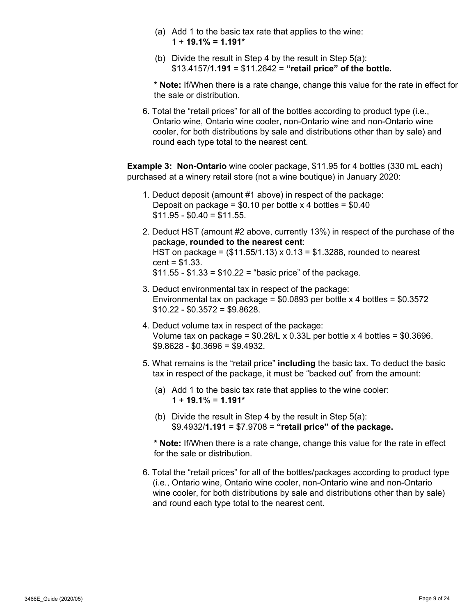- (a) Add 1 to the basic tax rate that applies to the wine: 1 + **19.1% = 1.191\***
- (b) Divide the result in Step 4 by the result in Step 5(a): \$13.4157/**1.191** = \$11.2642 = **"retail price" of the bottle.**

**\* Note:** If/When there is a rate change, change this value for the rate in effect for the sale or distribution.

6. Total the "retail prices" for all of the bottles according to product type (i.e., Ontario wine, Ontario wine cooler, non-Ontario wine and non-Ontario wine cooler, for both distributions by sale and distributions other than by sale) and round each type total to the nearest cent.

**Example 3: Non-Ontario** wine cooler package, \$11.95 for 4 bottles (330 mL each) purchased at a winery retail store (not a wine boutique) in January 2020:

- 1. Deduct deposit (amount #1 above) in respect of the package: Deposit on package =  $$0.10$  per bottle x 4 bottles =  $$0.40$  $$11.95 - $0.40 = $11.55.$
- 2. Deduct HST (amount #2 above, currently 13%) in respect of the purchase of the package, **rounded to the nearest cent**: HST on package = (\$11.55/1.13) x 0.13 = \$1.3288, rounded to nearest  $cent = $1.33$ .  $$11.55 - $1.33 = $10.22 = "basic price" of the package.$
- 3. Deduct environmental tax in respect of the package: Environmental tax on package =  $$0.0893$  per bottle x 4 bottles =  $$0.3572$  $$10.22 - $0.3572 = $9.8628$ .
- 4. Deduct volume tax in respect of the package: Volume tax on package =  $$0.28/L \times 0.33L$  per bottle x 4 bottles =  $$0.3696$ .  $$9.8628 - $0.3696 = $9.4932$ .
- 5. What remains is the "retail price" **including** the basic tax. To deduct the basic tax in respect of the package, it must be "backed out" from the amount:
	- (a) Add 1 to the basic tax rate that applies to the wine cooler: 1 + **19.1**% = **1.191\***
	- (b) Divide the result in Step 4 by the result in Step 5(a): \$9.4932/**1.191** = \$7.9708 = **"retail price" of the package.**

**\* Note:** If/When there is a rate change, change this value for the rate in effect for the sale or distribution.

6. Total the "retail prices" for all of the bottles/packages according to product type (i.e., Ontario wine, Ontario wine cooler, non-Ontario wine and non-Ontario wine cooler, for both distributions by sale and distributions other than by sale) and round each type total to the nearest cent.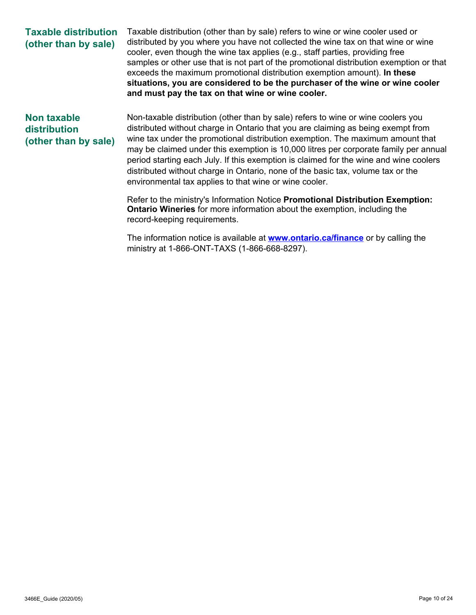# **Taxable distribution (other than by sale)**

Taxable distribution (other than by sale) refers to wine or wine cooler used or distributed by you where you have not collected the wine tax on that wine or wine cooler, even though the wine tax applies (e.g., staff parties, providing free samples or other use that is not part of the promotional distribution exemption or that exceeds the maximum promotional distribution exemption amount). **In these situations, you are considered to be the purchaser of the wine or wine cooler and must pay the tax on that wine or wine cooler.**

# **Non taxable distribution (other than by sale)**

Non-taxable distribution (other than by sale) refers to wine or wine coolers you distributed without charge in Ontario that you are claiming as being exempt from wine tax under the promotional distribution exemption. The maximum amount that may be claimed under this exemption is 10,000 litres per corporate family per annual period starting each July. If this exemption is claimed for the wine and wine coolers distributed without charge in Ontario, none of the basic tax, volume tax or the environmental tax applies to that wine or wine cooler.

Refer to the ministry's Information Notice **Promotional Distribution Exemption: Ontario Wineries** for more information about the exemption, including the record-keeping requirements.

The information notice is available at **www.ontario.ca/finance** or by calling the ministry at 1-866-ONT-TAXS (1-866-668-8297).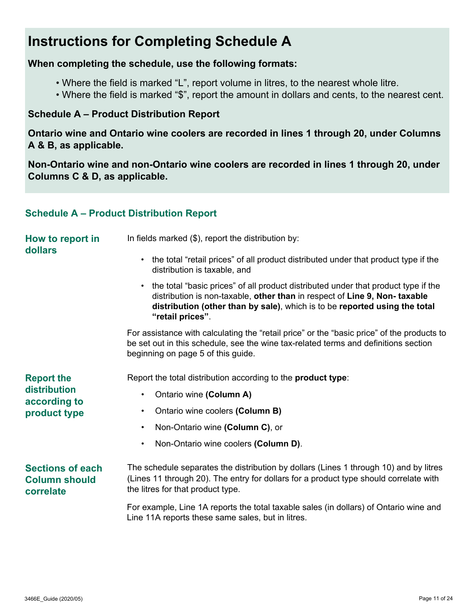# **Instructions for Completing Schedule A**

# **When completing the schedule, use the following formats:**

- Where the field is marked "L", report volume in litres, to the nearest whole litre.
- Where the field is marked "\$", report the amount in dollars and cents, to the nearest cent.

# **Schedule A – Product Distribution Report**

**Ontario wine and Ontario wine coolers are recorded in lines 1 through 20, under Columns A & B, as applicable.** 

**Non-Ontario wine and non-Ontario wine coolers are recorded in lines 1 through 20, under Columns C & D, as applicable.**

## **Schedule A – Product Distribution Report**

| How to report in<br>dollars                                  | In fields marked (\$), report the distribution by:                                                                                                                                                                                                                                                                                                                                                                 |  |  |  |  |
|--------------------------------------------------------------|--------------------------------------------------------------------------------------------------------------------------------------------------------------------------------------------------------------------------------------------------------------------------------------------------------------------------------------------------------------------------------------------------------------------|--|--|--|--|
|                                                              | the total "retail prices" of all product distributed under that product type if the<br>$\bullet$<br>distribution is taxable, and<br>the total "basic prices" of all product distributed under that product type if the<br>$\bullet$<br>distribution is non-taxable, other than in respect of Line 9, Non-taxable<br>distribution (other than by sale), which is to be reported using the total<br>"retail prices". |  |  |  |  |
|                                                              |                                                                                                                                                                                                                                                                                                                                                                                                                    |  |  |  |  |
|                                                              | For assistance with calculating the "retail price" or the "basic price" of the products to<br>be set out in this schedule, see the wine tax-related terms and definitions section<br>beginning on page 5 of this guide.                                                                                                                                                                                            |  |  |  |  |
| <b>Report the</b>                                            | Report the total distribution according to the product type:                                                                                                                                                                                                                                                                                                                                                       |  |  |  |  |
| distribution<br>according to                                 | Ontario wine (Column A)<br>$\bullet$                                                                                                                                                                                                                                                                                                                                                                               |  |  |  |  |
| product type                                                 | Ontario wine coolers (Column B)<br>$\bullet$                                                                                                                                                                                                                                                                                                                                                                       |  |  |  |  |
|                                                              | Non-Ontario wine (Column C), or<br>$\bullet$                                                                                                                                                                                                                                                                                                                                                                       |  |  |  |  |
|                                                              | Non-Ontario wine coolers (Column D).<br>$\bullet$                                                                                                                                                                                                                                                                                                                                                                  |  |  |  |  |
| <b>Sections of each</b><br><b>Column should</b><br>correlate | The schedule separates the distribution by dollars (Lines 1 through 10) and by litres<br>(Lines 11 through 20). The entry for dollars for a product type should correlate with<br>the litres for that product type.                                                                                                                                                                                                |  |  |  |  |
|                                                              | For example, Line 1A reports the total taxable sales (in dollars) of Ontario wine and<br>Line 11A reports these same sales, but in litres.                                                                                                                                                                                                                                                                         |  |  |  |  |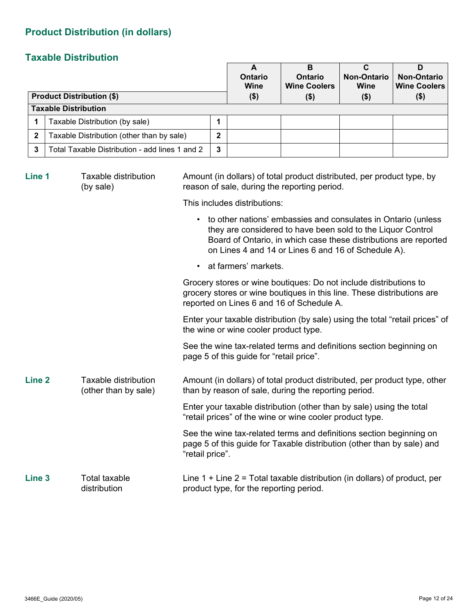# **Product Distribution (in dollars)**

# **Taxable Distribution**

|                   | <b>Product Distribution (\$)</b>               |                 |   | A<br><b>Ontario</b><br><b>Wine</b><br>$($ \$)                                                                                    | B<br><b>Ontario</b><br><b>Wine Coolers</b><br>$($ \$)                                                                                                                                                                                                   | $\overline{\mathbf{c}}$<br><b>Non-Ontario</b><br>Wine<br>$($ \$) | D<br><b>Non-Ontario</b><br><b>Wine Coolers</b><br>$($ \$) |  |
|-------------------|------------------------------------------------|-----------------|---|----------------------------------------------------------------------------------------------------------------------------------|---------------------------------------------------------------------------------------------------------------------------------------------------------------------------------------------------------------------------------------------------------|------------------------------------------------------------------|-----------------------------------------------------------|--|
|                   | <b>Taxable Distribution</b>                    |                 |   |                                                                                                                                  |                                                                                                                                                                                                                                                         |                                                                  |                                                           |  |
| 1                 | Taxable Distribution (by sale)                 |                 | 1 |                                                                                                                                  |                                                                                                                                                                                                                                                         |                                                                  |                                                           |  |
| $\mathbf 2$       | Taxable Distribution (other than by sale)      |                 | 2 |                                                                                                                                  |                                                                                                                                                                                                                                                         |                                                                  |                                                           |  |
| 3                 | Total Taxable Distribution - add lines 1 and 2 |                 | 3 |                                                                                                                                  |                                                                                                                                                                                                                                                         |                                                                  |                                                           |  |
| Line 1            | <b>Taxable distribution</b><br>(by sale)       |                 |   |                                                                                                                                  | Amount (in dollars) of total product distributed, per product type, by<br>reason of sale, during the reporting period.                                                                                                                                  |                                                                  |                                                           |  |
|                   |                                                |                 |   | This includes distributions:                                                                                                     |                                                                                                                                                                                                                                                         |                                                                  |                                                           |  |
|                   |                                                |                 |   |                                                                                                                                  | to other nations' embassies and consulates in Ontario (unless<br>they are considered to have been sold to the Liquor Control<br>Board of Ontario, in which case these distributions are reported<br>on Lines 4 and 14 or Lines 6 and 16 of Schedule A). |                                                                  |                                                           |  |
|                   |                                                | $\bullet$       |   | at farmers' markets.                                                                                                             |                                                                                                                                                                                                                                                         |                                                                  |                                                           |  |
|                   |                                                |                 |   |                                                                                                                                  | Grocery stores or wine boutiques: Do not include distributions to<br>grocery stores or wine boutiques in this line. These distributions are<br>reported on Lines 6 and 16 of Schedule A.                                                                |                                                                  |                                                           |  |
|                   |                                                |                 |   | the wine or wine cooler product type.                                                                                            | Enter your taxable distribution (by sale) using the total "retail prices" of                                                                                                                                                                            |                                                                  |                                                           |  |
|                   |                                                |                 |   | page 5 of this guide for "retail price".                                                                                         | See the wine tax-related terms and definitions section beginning on                                                                                                                                                                                     |                                                                  |                                                           |  |
| Line <sub>2</sub> | Taxable distribution<br>(other than by sale)   |                 |   |                                                                                                                                  | Amount (in dollars) of total product distributed, per product type, other<br>than by reason of sale, during the reporting period.                                                                                                                       |                                                                  |                                                           |  |
|                   |                                                |                 |   | Enter your taxable distribution (other than by sale) using the total<br>"retail prices" of the wine or wine cooler product type. |                                                                                                                                                                                                                                                         |                                                                  |                                                           |  |
|                   |                                                | "retail price". |   |                                                                                                                                  | See the wine tax-related terms and definitions section beginning on<br>page 5 of this guide for Taxable distribution (other than by sale) and                                                                                                           |                                                                  |                                                           |  |

**Line 3** Total taxable distribution Line 1 + Line 2 = Total taxable distribution (in dollars) of product, per product type, for the reporting period.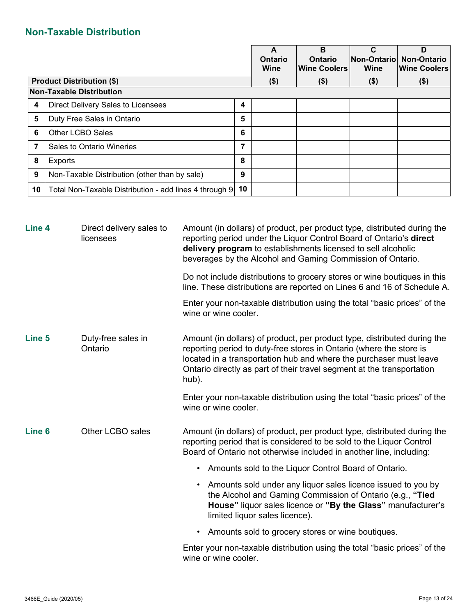# **Non-Taxable Distribution**

|    |                                                        |    | A<br><b>Ontario</b><br>Wine | B<br><b>Ontario</b><br>∣Wine Coolers | Non-Ontario<br>Wine | D<br><b>Non-Ontario</b><br><b>Wine Coolers</b> |
|----|--------------------------------------------------------|----|-----------------------------|--------------------------------------|---------------------|------------------------------------------------|
|    | <b>Product Distribution (\$)</b>                       |    | $($ \$)                     | $($ \$)                              | $($ \$)             | $($ \$)                                        |
|    | <b>Non-Taxable Distribution</b>                        |    |                             |                                      |                     |                                                |
| 4  | Direct Delivery Sales to Licensees                     | 4  |                             |                                      |                     |                                                |
| 5  | Duty Free Sales in Ontario                             | 5  |                             |                                      |                     |                                                |
| 6  | Other LCBO Sales                                       | 6  |                             |                                      |                     |                                                |
| 7  | Sales to Ontario Wineries                              | 7  |                             |                                      |                     |                                                |
| 8  | Exports                                                | 8  |                             |                                      |                     |                                                |
| 9  | Non-Taxable Distribution (other than by sale)          | 9  |                             |                                      |                     |                                                |
| 10 | Total Non-Taxable Distribution - add lines 4 through 9 | 10 |                             |                                      |                     |                                                |

| Line 4            | Direct delivery sales to<br>licensees | Amount (in dollars) of product, per product type, distributed during the<br>reporting period under the Liquor Control Board of Ontario's direct<br>delivery program to establishments licensed to sell alcoholic<br>beverages by the Alcohol and Gaming Commission of Ontario.                           |  |  |  |  |
|-------------------|---------------------------------------|----------------------------------------------------------------------------------------------------------------------------------------------------------------------------------------------------------------------------------------------------------------------------------------------------------|--|--|--|--|
|                   |                                       | Do not include distributions to grocery stores or wine boutiques in this<br>line. These distributions are reported on Lines 6 and 16 of Schedule A.                                                                                                                                                      |  |  |  |  |
|                   |                                       | Enter your non-taxable distribution using the total "basic prices" of the<br>wine or wine cooler.                                                                                                                                                                                                        |  |  |  |  |
| Line 5            | Duty-free sales in<br>Ontario         | Amount (in dollars) of product, per product type, distributed during the<br>reporting period to duty-free stores in Ontario (where the store is<br>located in a transportation hub and where the purchaser must leave<br>Ontario directly as part of their travel segment at the transportation<br>hub). |  |  |  |  |
|                   |                                       | Enter your non-taxable distribution using the total "basic prices" of the<br>wine or wine cooler.                                                                                                                                                                                                        |  |  |  |  |
| Line <sub>6</sub> | Other LCBO sales                      | Amount (in dollars) of product, per product type, distributed during the<br>reporting period that is considered to be sold to the Liquor Control<br>Board of Ontario not otherwise included in another line, including:                                                                                  |  |  |  |  |
|                   |                                       | Amounts sold to the Liquor Control Board of Ontario.<br>$\bullet$                                                                                                                                                                                                                                        |  |  |  |  |
|                   |                                       | • Amounts sold under any liquor sales licence issued to you by<br>the Alcohol and Gaming Commission of Ontario (e.g., "Tied"<br>House" liquor sales licence or "By the Glass" manufacturer's<br>limited liquor sales licence).                                                                           |  |  |  |  |
|                   |                                       | Amounts sold to grocery stores or wine boutiques.<br>$\bullet$                                                                                                                                                                                                                                           |  |  |  |  |
|                   |                                       | Enter your non-taxable distribution using the total "basic prices" of the<br>wine or wine cooler.                                                                                                                                                                                                        |  |  |  |  |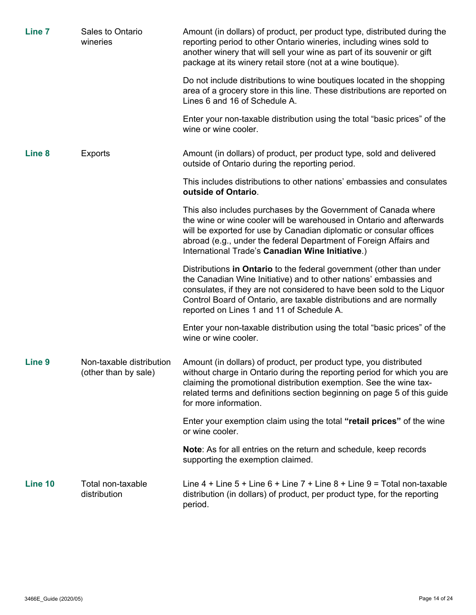| Line 7            | Sales to Ontario<br>wineries                     | Amount (in dollars) of product, per product type, distributed during the<br>reporting period to other Ontario wineries, including wines sold to<br>another winery that will sell your wine as part of its souvenir or gift<br>package at its winery retail store (not at a wine boutique).                                               |
|-------------------|--------------------------------------------------|------------------------------------------------------------------------------------------------------------------------------------------------------------------------------------------------------------------------------------------------------------------------------------------------------------------------------------------|
|                   |                                                  | Do not include distributions to wine boutiques located in the shopping<br>area of a grocery store in this line. These distributions are reported on<br>Lines 6 and 16 of Schedule A.                                                                                                                                                     |
|                   |                                                  | Enter your non-taxable distribution using the total "basic prices" of the<br>wine or wine cooler.                                                                                                                                                                                                                                        |
| Line 8            | <b>Exports</b>                                   | Amount (in dollars) of product, per product type, sold and delivered<br>outside of Ontario during the reporting period.                                                                                                                                                                                                                  |
|                   |                                                  | This includes distributions to other nations' embassies and consulates<br>outside of Ontario.                                                                                                                                                                                                                                            |
|                   |                                                  | This also includes purchases by the Government of Canada where<br>the wine or wine cooler will be warehoused in Ontario and afterwards<br>will be exported for use by Canadian diplomatic or consular offices<br>abroad (e.g., under the federal Department of Foreign Affairs and<br>International Trade's Canadian Wine Initiative.)   |
|                   |                                                  | Distributions in Ontario to the federal government (other than under<br>the Canadian Wine Initiative) and to other nations' embassies and<br>consulates, if they are not considered to have been sold to the Liquor<br>Control Board of Ontario, are taxable distributions and are normally<br>reported on Lines 1 and 11 of Schedule A. |
|                   |                                                  | Enter your non-taxable distribution using the total "basic prices" of the<br>wine or wine cooler.                                                                                                                                                                                                                                        |
| Line <sub>9</sub> | Non-taxable distribution<br>(other than by sale) | Amount (in dollars) of product, per product type, you distributed<br>without charge in Ontario during the reporting period for which you are<br>claiming the promotional distribution exemption. See the wine tax-<br>related terms and definitions section beginning on page 5 of this guide<br>for more information.                   |
|                   |                                                  | Enter your exemption claim using the total "retail prices" of the wine<br>or wine cooler.                                                                                                                                                                                                                                                |
|                   |                                                  | <b>Note:</b> As for all entries on the return and schedule, keep records<br>supporting the exemption claimed.                                                                                                                                                                                                                            |
| Line 10           | Total non-taxable<br>distribution                | Line $4 +$ Line $5 +$ Line $6 +$ Line $7 +$ Line $8 +$ Line $9 =$ Total non-taxable<br>distribution (in dollars) of product, per product type, for the reporting<br>period.                                                                                                                                                              |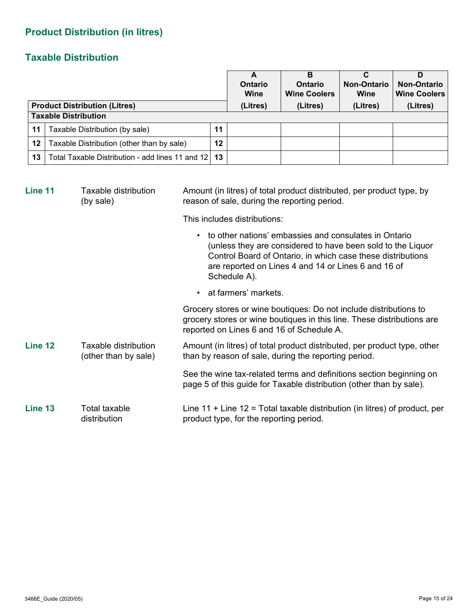# **Product Distribution (in litres)**

# **Taxable Distribution**

|                                      |                                                       |    | А<br>Ontario<br>Wine | в<br>Ontario<br><b>Wine Coolers</b> | <b>Non-Ontario</b><br>Wine | D<br><b>Non-Ontario</b><br><b>Wine Coolers</b> |
|--------------------------------------|-------------------------------------------------------|----|----------------------|-------------------------------------|----------------------------|------------------------------------------------|
| <b>Product Distribution (Litres)</b> |                                                       |    | (Litres)             | (Litres)                            | (Litres)                   | (Litres)                                       |
| <b>Taxable Distribution</b>          |                                                       |    |                      |                                     |                            |                                                |
| 11                                   | Taxable Distribution (by sale)                        | 11 |                      |                                     |                            |                                                |
| 12 <sup>1</sup>                      | Taxable Distribution (other than by sale)             | 12 |                      |                                     |                            |                                                |
| 13 <sup>1</sup>                      | Total Taxable Distribution - add lines 11 and 12   13 |    |                      |                                     |                            |                                                |

| Line 11                                                 | Taxable distribution<br>(by sale) | Amount (in litres) of total product distributed, per product type, by<br>reason of sale, during the reporting period.                                                                                                                                      |  |  |  |
|---------------------------------------------------------|-----------------------------------|------------------------------------------------------------------------------------------------------------------------------------------------------------------------------------------------------------------------------------------------------------|--|--|--|
|                                                         |                                   | This includes distributions:                                                                                                                                                                                                                               |  |  |  |
|                                                         |                                   | to other nations' embassies and consulates in Ontario<br>(unless they are considered to have been sold to the Liquor<br>Control Board of Ontario, in which case these distributions<br>are reported on Lines 4 and 14 or Lines 6 and 16 of<br>Schedule A). |  |  |  |
|                                                         |                                   | • at farmers' markets.                                                                                                                                                                                                                                     |  |  |  |
|                                                         |                                   | Grocery stores or wine boutiques: Do not include distributions to<br>grocery stores or wine boutiques in this line. These distributions are<br>reported on Lines 6 and 16 of Schedule A.                                                                   |  |  |  |
| Line 12<br>Taxable distribution<br>(other than by sale) |                                   | Amount (in litres) of total product distributed, per product type, other<br>than by reason of sale, during the reporting period.                                                                                                                           |  |  |  |
|                                                         |                                   | See the wine tax-related terms and definitions section beginning on<br>page 5 of this guide for Taxable distribution (other than by sale).                                                                                                                 |  |  |  |
| Line 13                                                 | Total taxable<br>distribution     | Line 11 + Line 12 = Total taxable distribution (in litres) of product, per<br>product type, for the reporting period.                                                                                                                                      |  |  |  |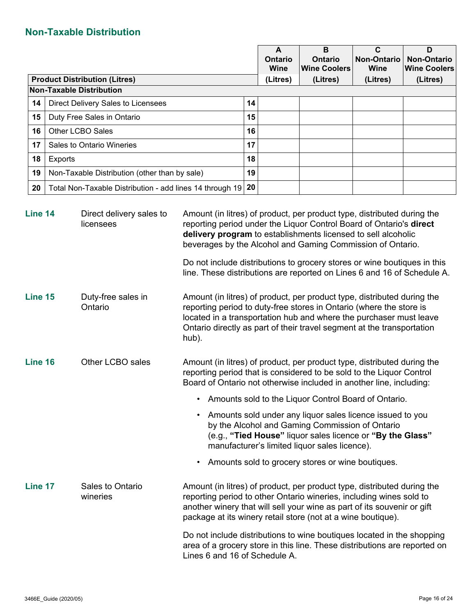# **Non-Taxable Distribution**

|         |                                      |                                                          |                                                                                                                                                                                                                                                                                                                                                                                                                                      |    | A<br><b>Ontario</b><br>Wine | B<br><b>Ontario</b><br><b>Wine Coolers</b>                                                                                                                                                                                  | $\mathbf c$<br><b>Non-Ontario</b><br><b>Wine</b> | D<br><b>Non-Ontario</b><br><b>Wine Coolers</b> |
|---------|--------------------------------------|----------------------------------------------------------|--------------------------------------------------------------------------------------------------------------------------------------------------------------------------------------------------------------------------------------------------------------------------------------------------------------------------------------------------------------------------------------------------------------------------------------|----|-----------------------------|-----------------------------------------------------------------------------------------------------------------------------------------------------------------------------------------------------------------------------|--------------------------------------------------|------------------------------------------------|
|         | <b>Product Distribution (Litres)</b> |                                                          |                                                                                                                                                                                                                                                                                                                                                                                                                                      |    | (Litres)                    | (Litres)                                                                                                                                                                                                                    | (Litres)                                         | (Litres)                                       |
|         |                                      | <b>Non-Taxable Distribution</b>                          |                                                                                                                                                                                                                                                                                                                                                                                                                                      |    |                             |                                                                                                                                                                                                                             |                                                  |                                                |
| 14      |                                      | Direct Delivery Sales to Licensees                       |                                                                                                                                                                                                                                                                                                                                                                                                                                      | 14 |                             |                                                                                                                                                                                                                             |                                                  |                                                |
| 15      |                                      | Duty Free Sales in Ontario                               |                                                                                                                                                                                                                                                                                                                                                                                                                                      | 15 |                             |                                                                                                                                                                                                                             |                                                  |                                                |
| 16      |                                      | Other LCBO Sales                                         |                                                                                                                                                                                                                                                                                                                                                                                                                                      | 16 |                             |                                                                                                                                                                                                                             |                                                  |                                                |
| 17      |                                      | Sales to Ontario Wineries                                |                                                                                                                                                                                                                                                                                                                                                                                                                                      | 17 |                             |                                                                                                                                                                                                                             |                                                  |                                                |
| 18      | Exports                              |                                                          |                                                                                                                                                                                                                                                                                                                                                                                                                                      | 18 |                             |                                                                                                                                                                                                                             |                                                  |                                                |
| 19      |                                      | Non-Taxable Distribution (other than by sale)            |                                                                                                                                                                                                                                                                                                                                                                                                                                      | 19 |                             |                                                                                                                                                                                                                             |                                                  |                                                |
| 20      |                                      | Total Non-Taxable Distribution - add lines 14 through 19 |                                                                                                                                                                                                                                                                                                                                                                                                                                      | 20 |                             |                                                                                                                                                                                                                             |                                                  |                                                |
| Line 14 |                                      | Direct delivery sales to<br>licensees                    | Amount (in litres) of product, per product type, distributed during the<br>reporting period under the Liquor Control Board of Ontario's direct<br>delivery program to establishments licensed to sell alcoholic<br>beverages by the Alcohol and Gaming Commission of Ontario.<br>Do not include distributions to grocery stores or wine boutiques in this<br>line. These distributions are reported on Lines 6 and 16 of Schedule A. |    |                             |                                                                                                                                                                                                                             |                                                  |                                                |
| Line 15 |                                      | Duty-free sales in<br>Ontario                            | Amount (in litres) of product, per product type, distributed during the<br>reporting period to duty-free stores in Ontario (where the store is<br>located in a transportation hub and where the purchaser must leave<br>Ontario directly as part of their travel segment at the transportation<br>hub).                                                                                                                              |    |                             |                                                                                                                                                                                                                             |                                                  |                                                |
| Line 16 |                                      | Other LCBO sales                                         | Amount (in litres) of product, per product type, distributed during the<br>reporting period that is considered to be sold to the Liquor Control<br>Board of Ontario not otherwise included in another line, including:                                                                                                                                                                                                               |    |                             |                                                                                                                                                                                                                             |                                                  |                                                |
|         |                                      |                                                          |                                                                                                                                                                                                                                                                                                                                                                                                                                      |    |                             | Amounts sold to the Liquor Control Board of Ontario.                                                                                                                                                                        |                                                  |                                                |
|         |                                      |                                                          |                                                                                                                                                                                                                                                                                                                                                                                                                                      |    |                             | Amounts sold under any liquor sales licence issued to you<br>by the Alcohol and Gaming Commission of Ontario<br>(e.g., "Tied House" liquor sales licence or "By the Glass"<br>manufacturer's limited liquor sales licence). |                                                  |                                                |
|         |                                      |                                                          |                                                                                                                                                                                                                                                                                                                                                                                                                                      |    |                             | Amounts sold to grocery stores or wine boutiques.                                                                                                                                                                           |                                                  |                                                |
| Line 17 |                                      | Sales to Ontario<br>wineries                             | Amount (in litres) of product, per product type, distributed during the<br>reporting period to other Ontario wineries, including wines sold to                                                                                                                                                                                                                                                                                       |    |                             |                                                                                                                                                                                                                             |                                                  |                                                |

Do not include distributions to wine boutiques located in the shopping area of a grocery store in this line. These distributions are reported on Lines 6 and 16 of Schedule A.

another winery that will sell your wine as part of its souvenir or gift

package at its winery retail store (not at a wine boutique).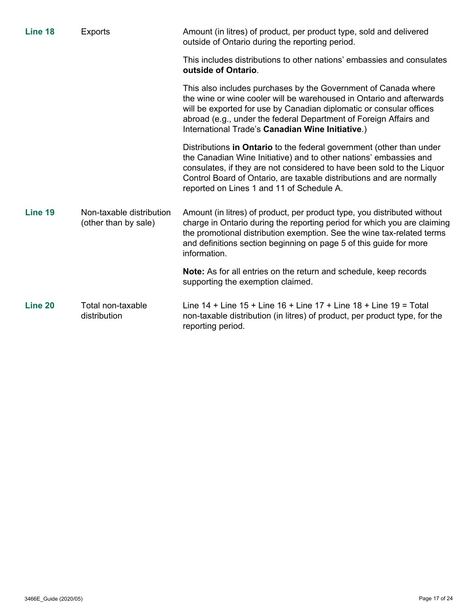| Line 18 | <b>Exports</b>                                   | Amount (in litres) of product, per product type, sold and delivered<br>outside of Ontario during the reporting period.                                                                                                                                                                                                                   |  |  |  |  |
|---------|--------------------------------------------------|------------------------------------------------------------------------------------------------------------------------------------------------------------------------------------------------------------------------------------------------------------------------------------------------------------------------------------------|--|--|--|--|
|         |                                                  | This includes distributions to other nations' embassies and consulates<br>outside of Ontario.                                                                                                                                                                                                                                            |  |  |  |  |
|         |                                                  | This also includes purchases by the Government of Canada where<br>the wine or wine cooler will be warehoused in Ontario and afterwards<br>will be exported for use by Canadian diplomatic or consular offices<br>abroad (e.g., under the federal Department of Foreign Affairs and<br>International Trade's Canadian Wine Initiative.)   |  |  |  |  |
|         |                                                  | Distributions in Ontario to the federal government (other than under<br>the Canadian Wine Initiative) and to other nations' embassies and<br>consulates, if they are not considered to have been sold to the Liquor<br>Control Board of Ontario, are taxable distributions and are normally<br>reported on Lines 1 and 11 of Schedule A. |  |  |  |  |
| Line 19 | Non-taxable distribution<br>(other than by sale) | Amount (in litres) of product, per product type, you distributed without<br>charge in Ontario during the reporting period for which you are claiming<br>the promotional distribution exemption. See the wine tax-related terms<br>and definitions section beginning on page 5 of this guide for more<br>information.                     |  |  |  |  |
|         |                                                  | <b>Note:</b> As for all entries on the return and schedule, keep records<br>supporting the exemption claimed.                                                                                                                                                                                                                            |  |  |  |  |
| Line 20 | Total non-taxable<br>distribution                | Line $14 +$ Line $15 +$ Line $16 +$ Line $17 +$ Line $18 +$ Line $19 =$ Total<br>non-taxable distribution (in litres) of product, per product type, for the<br>reporting period.                                                                                                                                                         |  |  |  |  |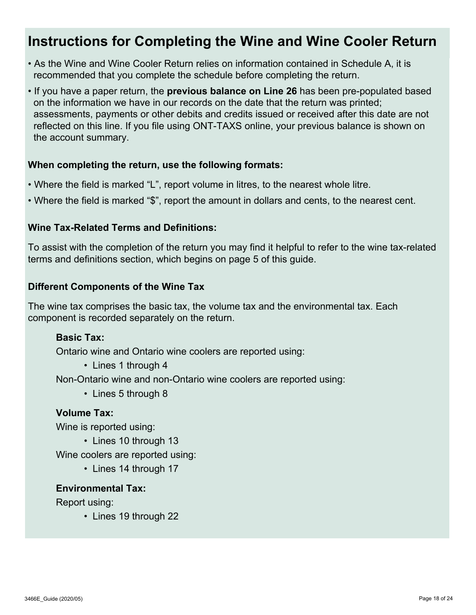# **Instructions for Completing the Wine and Wine Cooler Return**

- As the Wine and Wine Cooler Return relies on information contained in Schedule A, it is recommended that you complete the schedule before completing the return.
- If you have a paper return, the **previous balance on Line 26** has been pre-populated based on the information we have in our records on the date that the return was printed; assessments, payments or other debits and credits issued or received after this date are not reflected on this line. If you file using ONT-TAXS online, your previous balance is shown on the account summary.

## **When completing the return, use the following formats:**

- Where the field is marked "L", report volume in litres, to the nearest whole litre.
- Where the field is marked "\$", report the amount in dollars and cents, to the nearest cent.

## **Wine Tax-Related Terms and Definitions:**

To assist with the completion of the return you may find it helpful to refer to the wine tax-related terms and definitions section, which begins on page 5 of this guide.

## **Different Components of the Wine Tax**

The wine tax comprises the basic tax, the volume tax and the environmental tax. Each component is recorded separately on the return.

## **Basic Tax:**

Ontario wine and Ontario wine coolers are reported using:

• Lines 1 through 4

Non-Ontario wine and non-Ontario wine coolers are reported using:

• Lines 5 through 8

#### **Volume Tax:**

Wine is reported using:

• Lines 10 through 13

Wine coolers are reported using:

• Lines 14 through 17

#### **Environmental Tax:**

Report using:

• Lines 19 through 22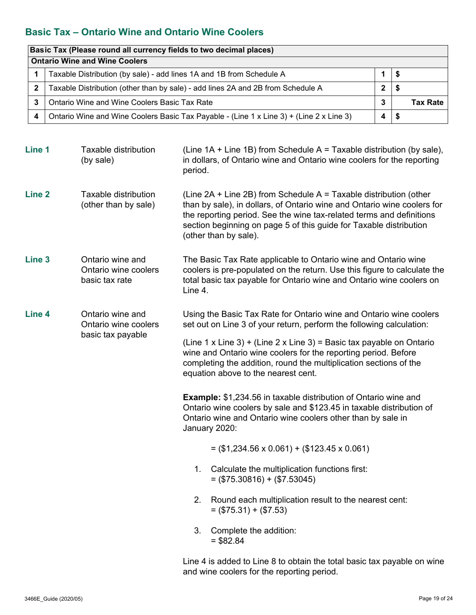# **Basic Tax – Ontario Wine and Ontario Wine Coolers**

|             | Basic Tax (Please round all currency fields to two decimal places)                      |   |      |                 |  |
|-------------|-----------------------------------------------------------------------------------------|---|------|-----------------|--|
|             | <b>Ontario Wine and Wine Coolers</b>                                                    |   |      |                 |  |
|             | Taxable Distribution (by sale) - add lines 1A and 1B from Schedule A                    |   |      |                 |  |
| $\mathbf 2$ | Taxable Distribution (other than by sale) - add lines 2A and 2B from Schedule A         | 2 | - \$ |                 |  |
|             | Ontario Wine and Wine Coolers Basic Tax Rate                                            | 3 |      | <b>Tax Rate</b> |  |
| 4           | Ontario Wine and Wine Coolers Basic Tax Payable - (Line 1 x Line 3) + (Line 2 x Line 3) | 4 | - 5  |                 |  |

| Line 1            | <b>Taxable distribution</b><br>(by sale)                      | (Line $1A +$ Line $1B$ ) from Schedule A = Taxable distribution (by sale),<br>in dollars, of Ontario wine and Ontario wine coolers for the reporting<br>period.                                                                                                                                                          |  |  |  |
|-------------------|---------------------------------------------------------------|--------------------------------------------------------------------------------------------------------------------------------------------------------------------------------------------------------------------------------------------------------------------------------------------------------------------------|--|--|--|
| <b>Line 2</b>     | <b>Taxable distribution</b><br>(other than by sale)           | (Line $2A + Line 2B$ ) from Schedule $A = Taxable$ distribution (other<br>than by sale), in dollars, of Ontario wine and Ontario wine coolers for<br>the reporting period. See the wine tax-related terms and definitions<br>section beginning on page 5 of this guide for Taxable distribution<br>(other than by sale). |  |  |  |
| Line <sub>3</sub> | Ontario wine and<br>Ontario wine coolers<br>basic tax rate    | The Basic Tax Rate applicable to Ontario wine and Ontario wine<br>coolers is pre-populated on the return. Use this figure to calculate the<br>total basic tax payable for Ontario wine and Ontario wine coolers on<br>Line 4.                                                                                            |  |  |  |
| Line 4            | Ontario wine and<br>Ontario wine coolers<br>basic tax payable | Using the Basic Tax Rate for Ontario wine and Ontario wine coolers<br>set out on Line 3 of your return, perform the following calculation:                                                                                                                                                                               |  |  |  |
|                   |                                                               | (Line 1 x Line 3) + (Line 2 x Line 3) = Basic tax payable on Ontario<br>wine and Ontario wine coolers for the reporting period. Before<br>completing the addition, round the multiplication sections of the<br>equation above to the nearest cent.                                                                       |  |  |  |
|                   |                                                               | <b>Example:</b> \$1,234.56 in taxable distribution of Ontario wine and<br>Ontario wine coolers by sale and \$123.45 in taxable distribution of<br>Ontario wine and Ontario wine coolers other than by sale in<br>January 2020:                                                                                           |  |  |  |
|                   |                                                               | $=$ (\$1,234.56 x 0.061) + (\$123.45 x 0.061)                                                                                                                                                                                                                                                                            |  |  |  |
|                   |                                                               | Calculate the multiplication functions first:<br>1.<br>$=$ (\$75.30816) + (\$7.53045)                                                                                                                                                                                                                                    |  |  |  |
|                   |                                                               | Round each multiplication result to the nearest cent:<br>2.<br>$=$ (\$75.31) + (\$7.53)                                                                                                                                                                                                                                  |  |  |  |
|                   |                                                               | 3.<br>Complete the addition:<br>$= $82.84$                                                                                                                                                                                                                                                                               |  |  |  |

Line 4 is added to Line 8 to obtain the total basic tax payable on wine and wine coolers for the reporting period.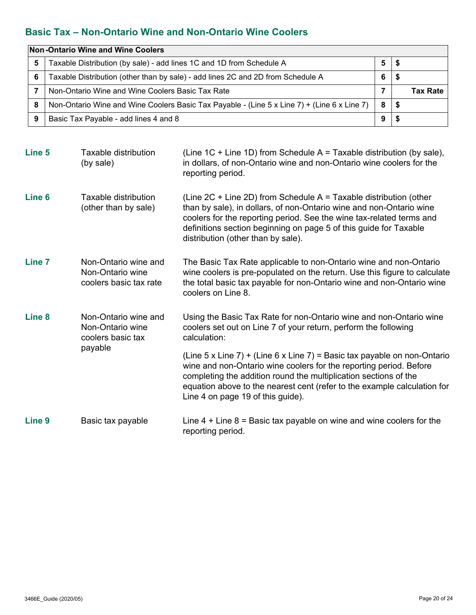# **Basic Tax – Non-Ontario Wine and Non-Ontario Wine Coolers**

|   | Non-Ontario Wine and Wine Coolers                                                           |   |      |                 |  |
|---|---------------------------------------------------------------------------------------------|---|------|-----------------|--|
| 5 | Taxable Distribution (by sale) - add lines 1C and 1D from Schedule A                        | 5 | Ð    |                 |  |
| 6 | Taxable Distribution (other than by sale) - add lines 2C and 2D from Schedule A             | b | ъ    |                 |  |
|   | Non-Ontario Wine and Wine Coolers Basic Tax Rate                                            |   |      | <b>Tax Rate</b> |  |
| 8 | Non-Ontario Wine and Wine Coolers Basic Tax Payable - (Line 5 x Line 7) + (Line 6 x Line 7) | 8 | - \$ |                 |  |
| 9 | Basic Tax Payable - add lines 4 and 8                                                       | 9 |      |                 |  |

| Line 5            | Taxable distribution<br>(by sale)                                        | (Line $1C +$ Line $1D$ ) from Schedule A = Taxable distribution (by sale),<br>in dollars, of non-Ontario wine and non-Ontario wine coolers for the<br>reporting period.                                                                                                                                                             |
|-------------------|--------------------------------------------------------------------------|-------------------------------------------------------------------------------------------------------------------------------------------------------------------------------------------------------------------------------------------------------------------------------------------------------------------------------------|
| Line <sub>6</sub> | Taxable distribution<br>(other than by sale)                             | (Line $2C +$ Line $2D$ ) from Schedule A = Taxable distribution (other<br>than by sale), in dollars, of non-Ontario wine and non-Ontario wine<br>coolers for the reporting period. See the wine tax-related terms and<br>definitions section beginning on page 5 of this guide for Taxable<br>distribution (other than by sale).    |
| <b>Line 7</b>     | Non-Ontario wine and<br>Non-Ontario wine<br>coolers basic tax rate       | The Basic Tax Rate applicable to non-Ontario wine and non-Ontario<br>wine coolers is pre-populated on the return. Use this figure to calculate<br>the total basic tax payable for non-Ontario wine and non-Ontario wine<br>coolers on Line 8.                                                                                       |
| Line <sub>8</sub> | Non-Ontario wine and<br>Non-Ontario wine<br>coolers basic tax<br>payable | Using the Basic Tax Rate for non-Ontario wine and non-Ontario wine<br>coolers set out on Line 7 of your return, perform the following<br>calculation:                                                                                                                                                                               |
|                   |                                                                          | (Line 5 x Line 7) + (Line 6 x Line 7) = Basic tax payable on non-Ontario<br>wine and non-Ontario wine coolers for the reporting period. Before<br>completing the addition round the multiplication sections of the<br>equation above to the nearest cent (refer to the example calculation for<br>Line 4 on page 19 of this guide). |
| Line <sub>9</sub> | Basic tax payable                                                        | Line $4 +$ Line $8 =$ Basic tax payable on wine and wine coolers for the<br>reporting period.                                                                                                                                                                                                                                       |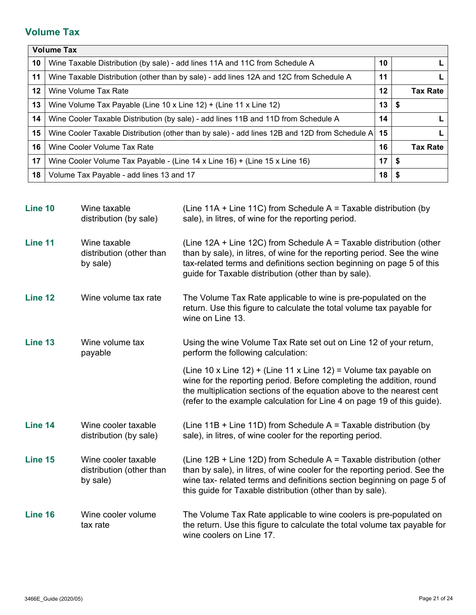# **Volume Tax**

|         | <b>Volume Tax</b>                                                                             |         |      |                 |
|---------|-----------------------------------------------------------------------------------------------|---------|------|-----------------|
| 10      | Wine Taxable Distribution (by sale) - add lines 11A and 11C from Schedule A                   | 10      |      |                 |
| 11      | Wine Taxable Distribution (other than by sale) - add lines 12A and 12C from Schedule A        | 11      |      |                 |
| $12 \,$ | Wine Volume Tax Rate                                                                          | $12 \,$ |      | <b>Tax Rate</b> |
| 13      | Wine Volume Tax Payable (Line 10 x Line 12) + (Line 11 x Line 12)                             | 13      | - \$ |                 |
| 14      | Wine Cooler Taxable Distribution (by sale) - add lines 11B and 11D from Schedule A            | 14      |      |                 |
| 15      | Wine Cooler Taxable Distribution (other than by sale) - add lines 12B and 12D from Schedule A | 15      |      |                 |
| 16      | Wine Cooler Volume Tax Rate                                                                   | 16      |      | <b>Tax Rate</b> |
| 17      | Wine Cooler Volume Tax Payable - (Line 14 x Line 16) + (Line 15 x Line 16)                    | 17      | - \$ |                 |
| 18      | Volume Tax Payable - add lines 13 and 17                                                      | 18      | - \$ |                 |

| Line 10 | Wine taxable<br>distribution (by sale)                      | (Line 11A + Line 11C) from Schedule $A =$ Taxable distribution (by<br>sale), in litres, of wine for the reporting period.                                                                                                                                                                     |
|---------|-------------------------------------------------------------|-----------------------------------------------------------------------------------------------------------------------------------------------------------------------------------------------------------------------------------------------------------------------------------------------|
| Line 11 | Wine taxable<br>distribution (other than<br>by sale)        | (Line 12A + Line 12C) from Schedule $A =$ Taxable distribution (other<br>than by sale), in litres, of wine for the reporting period. See the wine<br>tax-related terms and definitions section beginning on page 5 of this<br>guide for Taxable distribution (other than by sale).            |
| Line 12 | Wine volume tax rate                                        | The Volume Tax Rate applicable to wine is pre-populated on the<br>return. Use this figure to calculate the total volume tax payable for<br>wine on Line 13.                                                                                                                                   |
| Line 13 | Wine volume tax<br>payable                                  | Using the wine Volume Tax Rate set out on Line 12 of your return,<br>perform the following calculation:                                                                                                                                                                                       |
|         |                                                             | (Line 10 x Line 12) + (Line 11 x Line 12) = Volume tax payable on<br>wine for the reporting period. Before completing the addition, round<br>the multiplication sections of the equation above to the nearest cent<br>(refer to the example calculation for Line 4 on page 19 of this guide). |
| Line 14 | Wine cooler taxable<br>distribution (by sale)               | (Line $11B +$ Line $11D$ ) from Schedule A = Taxable distribution (by<br>sale), in litres, of wine cooler for the reporting period.                                                                                                                                                           |
| Line 15 | Wine cooler taxable<br>distribution (other than<br>by sale) | (Line $12B +$ Line $12D$ ) from Schedule A = Taxable distribution (other<br>than by sale), in litres, of wine cooler for the reporting period. See the<br>wine tax- related terms and definitions section beginning on page 5 of<br>this guide for Taxable distribution (other than by sale). |
| Line 16 | Wine cooler volume<br>tax rate                              | The Volume Tax Rate applicable to wine coolers is pre-populated on<br>the return. Use this figure to calculate the total volume tax payable for<br>wine coolers on Line 17.                                                                                                                   |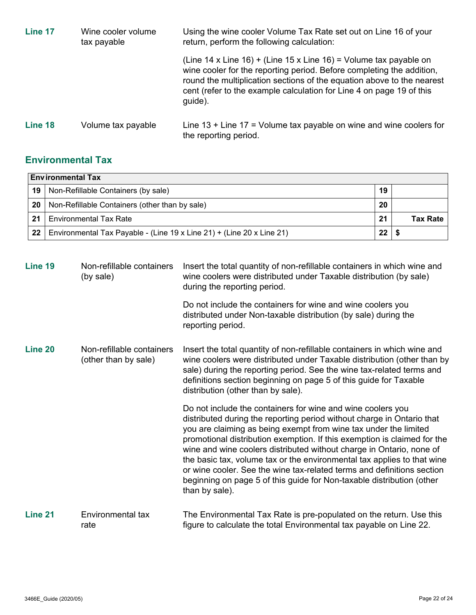| Line 17 | Wine cooler volume<br>tax payable | Using the wine cooler Volume Tax Rate set out on Line 16 of your<br>return, perform the following calculation:                                                                                                                                                                                          |  |  |
|---------|-----------------------------------|---------------------------------------------------------------------------------------------------------------------------------------------------------------------------------------------------------------------------------------------------------------------------------------------------------|--|--|
|         |                                   | (Line 14 x Line 16) + (Line 15 x Line 16) = Volume tax payable on<br>wine cooler for the reporting period. Before completing the addition,<br>round the multiplication sections of the equation above to the nearest<br>cent (refer to the example calculation for Line 4 on page 19 of this<br>guide). |  |  |
| Line 18 | Volume tax payable                | Line $13 +$ Line $17 =$ Volume tax payable on wine and wine coolers for<br>the reporting period.                                                                                                                                                                                                        |  |  |

# **Environmental Tax**

|      | <b>Environmental Tax</b>                                              |    |                 |  |  |
|------|-----------------------------------------------------------------------|----|-----------------|--|--|
| 19 I | Non-Refillable Containers (by sale)                                   | 19 |                 |  |  |
| 20   | Non-Refillable Containers (other than by sale)                        | 20 |                 |  |  |
| 21   | <b>Environmental Tax Rate</b>                                         | 21 | <b>Tax Rate</b> |  |  |
| 22   | Environmental Tax Payable - (Line 19 x Line 21) + (Line 20 x Line 21) | 22 |                 |  |  |

| Line 19 | Non-refillable containers<br>(by sale)            | Insert the total quantity of non-refillable containers in which wine and<br>wine coolers were distributed under Taxable distribution (by sale)<br>during the reporting period.                                                                                                                                                                                                                                                                                                                                                                                                                                |  |  |
|---------|---------------------------------------------------|---------------------------------------------------------------------------------------------------------------------------------------------------------------------------------------------------------------------------------------------------------------------------------------------------------------------------------------------------------------------------------------------------------------------------------------------------------------------------------------------------------------------------------------------------------------------------------------------------------------|--|--|
|         |                                                   | Do not include the containers for wine and wine coolers you<br>distributed under Non-taxable distribution (by sale) during the<br>reporting period.                                                                                                                                                                                                                                                                                                                                                                                                                                                           |  |  |
| Line 20 | Non-refillable containers<br>(other than by sale) | Insert the total quantity of non-refillable containers in which wine and<br>wine coolers were distributed under Taxable distribution (other than by<br>sale) during the reporting period. See the wine tax-related terms and<br>definitions section beginning on page 5 of this guide for Taxable<br>distribution (other than by sale).                                                                                                                                                                                                                                                                       |  |  |
|         |                                                   | Do not include the containers for wine and wine coolers you<br>distributed during the reporting period without charge in Ontario that<br>you are claiming as being exempt from wine tax under the limited<br>promotional distribution exemption. If this exemption is claimed for the<br>wine and wine coolers distributed without charge in Ontario, none of<br>the basic tax, volume tax or the environmental tax applies to that wine<br>or wine cooler. See the wine tax-related terms and definitions section<br>beginning on page 5 of this guide for Non-taxable distribution (other<br>than by sale). |  |  |
| Line 21 | Environmental tax<br>rate                         | The Environmental Tax Rate is pre-populated on the return. Use this<br>figure to calculate the total Environmental tax payable on Line 22.                                                                                                                                                                                                                                                                                                                                                                                                                                                                    |  |  |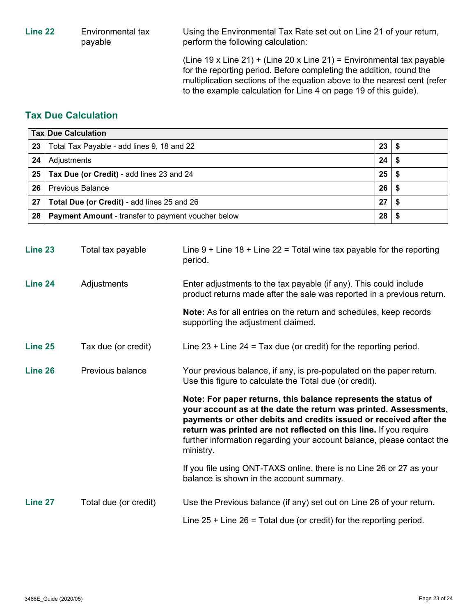**Line 22** Environmental tax

payable

Using the Environmental Tax Rate set out on Line 21 of your return, perform the following calculation:

(Line 19 x Line 21) + (Line 20 x Line 21) = Environmental tax payable for the reporting period. Before completing the addition, round the multiplication sections of the equation above to the nearest cent (refer to the example calculation for Line 4 on page 19 of this guide).

# **Tax Due Calculation**

| <b>Tax Due Calculation</b> |                                                           |    |  |  |
|----------------------------|-----------------------------------------------------------|----|--|--|
| 23                         | Total Tax Payable - add lines 9, 18 and 22                | 23 |  |  |
| 24                         | Adjustments                                               | 24 |  |  |
| 25                         | Tax Due (or Credit) - add lines 23 and 24                 | 25 |  |  |
| 26                         | <b>Previous Balance</b>                                   | 26 |  |  |
| 27                         | Total Due (or Credit) - add lines 25 and 26               | 27 |  |  |
| 28                         | <b>Payment Amount - transfer to payment voucher below</b> | 28 |  |  |

| Line 23 | Total tax payable     | Line $9 +$ Line $18 +$ Line 22 = Total wine tax payable for the reporting<br>period.                                                                                                                                                                                                                                                                                |
|---------|-----------------------|---------------------------------------------------------------------------------------------------------------------------------------------------------------------------------------------------------------------------------------------------------------------------------------------------------------------------------------------------------------------|
| Line 24 | Adjustments           | Enter adjustments to the tax payable (if any). This could include<br>product returns made after the sale was reported in a previous return.                                                                                                                                                                                                                         |
|         |                       | <b>Note:</b> As for all entries on the return and schedules, keep records<br>supporting the adjustment claimed.                                                                                                                                                                                                                                                     |
| Line 25 | Tax due (or credit)   | Line $23 +$ Line $24 =$ Tax due (or credit) for the reporting period.                                                                                                                                                                                                                                                                                               |
| Line 26 | Previous balance      | Your previous balance, if any, is pre-populated on the paper return.<br>Use this figure to calculate the Total due (or credit).                                                                                                                                                                                                                                     |
|         |                       | Note: For paper returns, this balance represents the status of<br>your account as at the date the return was printed. Assessments,<br>payments or other debits and credits issued or received after the<br>return was printed are not reflected on this line. If you require<br>further information regarding your account balance, please contact the<br>ministry. |
|         |                       | If you file using ONT-TAXS online, there is no Line 26 or 27 as your<br>balance is shown in the account summary.                                                                                                                                                                                                                                                    |
| Line 27 | Total due (or credit) | Use the Previous balance (if any) set out on Line 26 of your return.                                                                                                                                                                                                                                                                                                |
|         |                       | Line $25 +$ Line $26 =$ Total due (or credit) for the reporting period.                                                                                                                                                                                                                                                                                             |